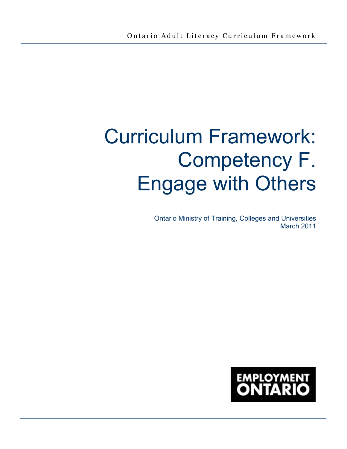# Curriculum Framework: Competency F. Engage with Others

Ontario Ministry of Training, Colleges and Universities March 2011

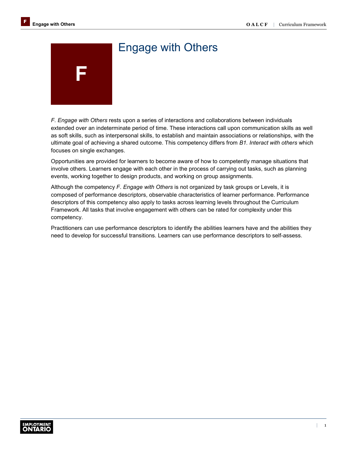# **F**  Engage with Others

## *F. Engage with Others* rests upon a series of interactions and collaborations between individuals extended over an indeterminate period of time. These interactions call upon communication skills as well as soft skills, such as interpersonal skills, to establish and maintain associations or relationships, with the ultimate goal of achieving a shared outcome. This competency differs from *B1. Interact with others* which focuses on single exchanges.

Opportunities are provided for learners to become aware of how to competently manage situations that involve others. Learners engage with each other in the process of carrying out tasks, such as planning events, working together to design products, and working on group assignments.

Although the competency *F. Engage with Others* is not organized by task groups or Levels, it is composed of performance descriptors, observable characteristics of learner performance. Performance descriptors of this competency also apply to tasks across learning levels throughout the Curriculum Framework. All tasks that involve engagement with others can be rated for complexity under this competency.

Practitioners can use performance descriptors to identify the abilities learners have and the abilities they need to develop for successful transitions. Learners can use performance descriptors to self-assess.